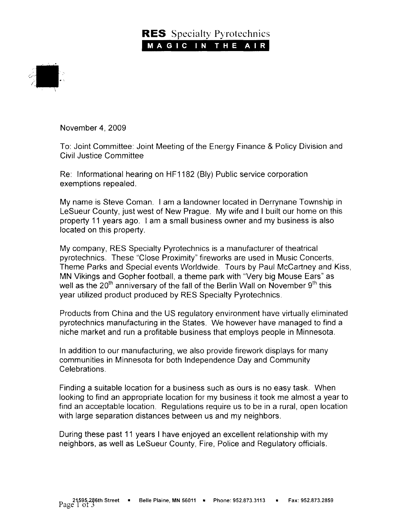## **RES** Specialty Pyrotechnics MAGIC IN THE AIR



November 4,2009

To: Joint Committee: Joint Meeting of the Energy Finance & Policy Division and Civil Justice Committee

Re. Informational hearing on HF1182 (Bly) Public service corporation exemptions repealed.

My name is Steve Coman. I am a landowner located in Derrynane Township in LeSueur County, just west of New Prague. My wife and I built our home on this property 11 years ago. I am a small business owner and my business is also located on this property.

My company, RES Specialty Pyrotechnics is a manufacturer of theatrical pyrotechnics. These "Close Proximity" fireworks are used in Music Concerts, Theme Parks and Special events Worldwide. Tours by Paul McCartney and Kiss, MN Vikings and Gopher football, a theme park with "Very big Mouse Ears" as well as the  $20<sup>th</sup>$  anniversary of the fall of the Berlin Wall on November  $9<sup>th</sup>$  this year utilized product produced by RES Specialty Pyrotechnics.

Products from China and the US regulatory environment have virtually eliminated pyrotechnics manufacturing in the States. We however have managed to find a niche market and run a profitable business that employs people in Minnesota.

In addition to our manufacturing, we also provide firework displays for many communities in Minnesota for both Independence Day and Community Celebrations.

Finding a suitable location for a business such as ours is no easy task. When looking to find an appropriate location for my business it took me almost a year to find an acceptable location. Regulations require us to be in a rural, open location with large separation distances between us and my neighbors.

During these past 11 years I have enjoyed an excellent relationship with my neighbors, as well as LeSueur County, Fire, Police and Regulatory officials.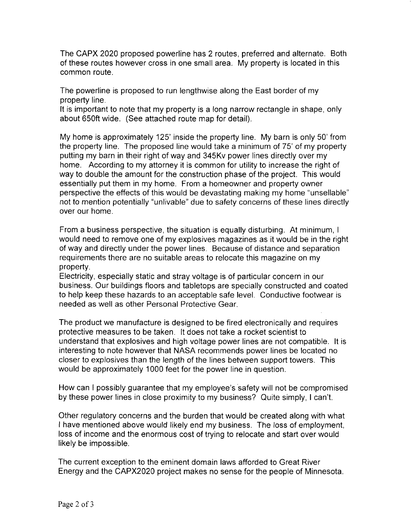The CAPX 2020 proposed powerline has 2 routes, preferred and alternate. Both of these routes however cross in one small area. My property is located in this common route.

The powerline is proposed to run lengthwise along the East border of my property line.

It is important to note that my property is a long narrow rectangle in shape, only about 650ft wide. (See attached route map for detail).

My home is approximately 125' inside the property line. My barn is only 50'from the property line. The proposed line would take a minimum of 75' of my property putting my barn in their right of way and 345Kv power lines directly over my home. According to my attorney it is common for utility to increase the right of way to double the amount for the construction phase of the project. This would essentially put them in my home. From a homeowner and property owner perspective the effects of this would be devastating making my home "unsellable" not to mention potentially "unlivable" due to safety concerns of these lines directly over our home.

From a business perspective, the situation is equally disturbing. At minimum, I would need to remove one of my explosives magazines as it would be in the right of way and directly under the power lines. Because of distance and separation requirements there are no suitable areas to relocate this magazine on my property.

Electricity, especially static and stray voltage is of particular concern in our business. Our buildings floors and tabletops are specially constructed and coated to help keep these hazards to an acceptable safe level. Conductive footwear is needed as well as other Personal Protective Gear.

The product we manufacture is designed to be fired electronically and requires protective measures to be taken. It does not take a rocket scientist to understand that explosives and high voltage power lines are not compatible. lt is interesting to note however that NASA recommends power lines be located no closer to explosives than the length of the lines between support towers. This would be approximately 1000 feet for the power line in question.

How can I possibly guarantee that my employee's safety will not be compromised by these power lines in close proximity to my business? Quite simply, I can't.

Other regulatory concerns and the burden that would be created along with what I have mentioned above would likely end my business. The loss of employment, loss of income and the enormous cost of trying to relocate and start over would likely be impossible.

The current exception to the eminent domain laws afforded to Great River Energy and the CAPX2020 project makes no sense for the people of Minnesota.